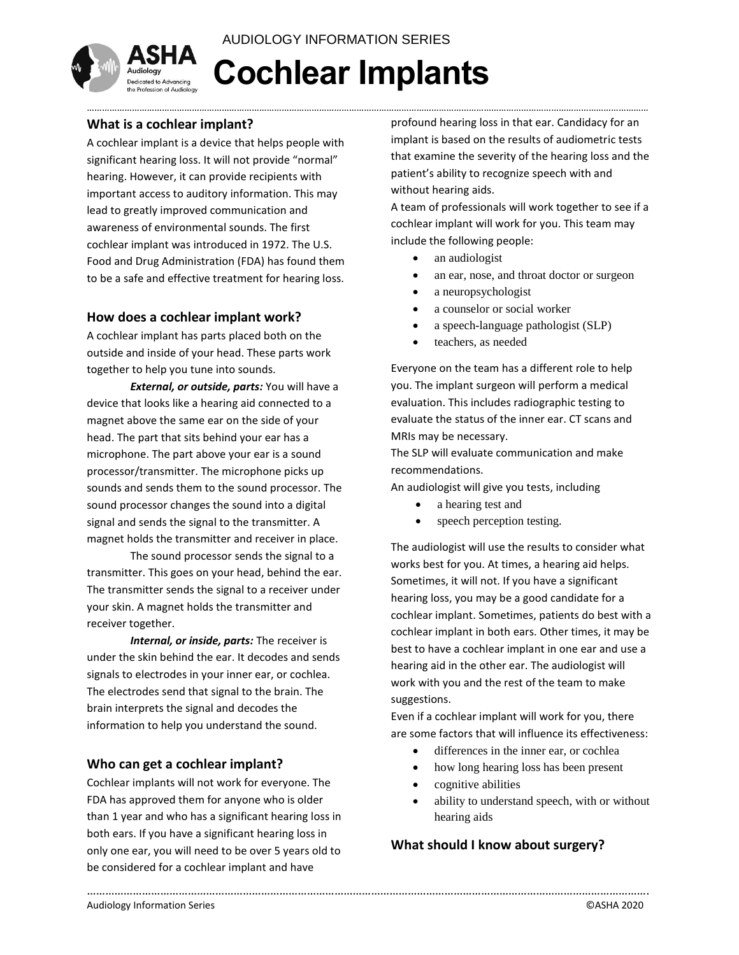

**Cochlear Implants** AUDIOLOGY INFORMATION SERIES

………………………………………………………………………………………………………………………………………………………………………………………………………

#### **What is a cochlear implant?**

A cochlear implant is a device that helps people with significant hearing loss. It will not provide "normal" hearing. However, it can provide recipients with important access to auditory information. This may lead to greatly improved communication and awareness of environmental sounds. The first cochlear implant was introduced in 1972. The U.S. Food and Drug Administration (FDA) has found them to be a safe and effective treatment for hearing loss.

## **How does a cochlear implant work?**

A cochlear implant has parts placed both on the outside and inside of your head. These parts work together to help you tune into sounds.

*External, or outside, parts:* You will have a device that looks like a hearing aid connected to a magnet above the same ear on the side of your head. The part that sits behind your ear has a microphone. The part above your ear is a sound processor/transmitter. The microphone picks up sounds and sends them to the sound processor. The sound processor changes the sound into a digital signal and sends the signal to the transmitter. A magnet holds the transmitter and receiver in place.

The sound processor sends the signal to a transmitter. This goes on your head, behind the ear. The transmitter sends the signal to a receiver under your skin. A magnet holds the transmitter and receiver together.

*Internal, or inside, parts:* The receiver is under the skin behind the ear. It decodes and sends signals to electrodes in your inner ear, or cochlea. The electrodes send that signal to the brain. The brain interprets the signal and decodes the information to help you understand the sound.

#### **Who can get a cochlear implant?**

Cochlear implants will not work for everyone. The FDA has approved them for anyone who is older than 1 year and who has a significant hearing loss in both ears. If you have a significant hearing loss in only one ear, you will need to be over 5 years old to be considered for a cochlear implant and have

profound hearing loss in that ear. Candidacy for an implant is based on the results of audiometric tests that examine the severity of the hearing loss and the patient's ability to recognize speech with and without hearing aids.

A team of professionals will work together to see if a cochlear implant will work for you. This team may include the following people:

- an audiologist
- an ear, nose, and throat doctor or surgeon
- a neuropsychologist
- a counselor or social worker
- a speech-language pathologist (SLP)
- teachers, as needed

Everyone on the team has a different role to help you. The implant surgeon will perform a medical evaluation. This includes radiographic testing to evaluate the status of the inner ear. CT scans and MRIs may be necessary.

The SLP will evaluate communication and make recommendations.

An audiologist will give you tests, including

- a hearing test and
- speech perception testing.

The audiologist will use the results to consider what works best for you. At times, a hearing aid helps. Sometimes, it will not. If you have a significant hearing loss, you may be a good candidate for a cochlear implant. Sometimes, patients do best with a cochlear implant in both ears. Other times, it may be best to have a cochlear implant in one ear and use a hearing aid in the other ear. The audiologist will work with you and the rest of the team to make suggestions.

Even if a cochlear implant will work for you, there are some factors that will influence its effectiveness:

- differences in the inner ear, or cochlea
- how long hearing loss has been present
- cognitive abilities

………………………………………………………………………………………………………………………………………………………………….

 ability to understand speech, with or without hearing aids

## **What should I know about surgery?**